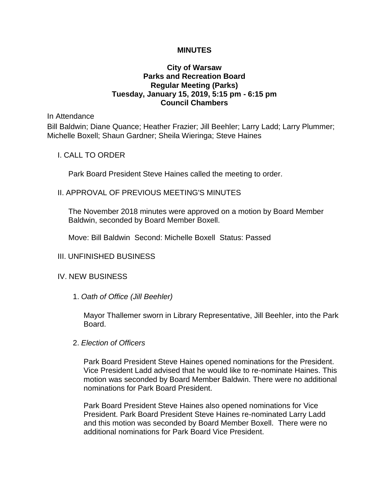## **MINUTES**

## **City of Warsaw Parks and Recreation Board Regular Meeting (Parks) Tuesday, January 15, 2019, 5:15 pm - 6:15 pm Council Chambers**

In Attendance

Bill Baldwin; Diane Quance; Heather Frazier; Jill Beehler; Larry Ladd; Larry Plummer; Michelle Boxell; Shaun Gardner; Sheila Wieringa; Steve Haines

## I. CALL TO ORDER

Park Board President Steve Haines called the meeting to order.

### II. APPROVAL OF PREVIOUS MEETING'S MINUTES

The November 2018 minutes were approved on a motion by Board Member Baldwin, seconded by Board Member Boxell.

Move: Bill Baldwin Second: Michelle Boxell Status: Passed

#### III. UNFINISHED BUSINESS

## IV. NEW BUSINESS

1. *Oath of Office (Jill Beehler)*

Mayor Thallemer sworn in Library Representative, Jill Beehler, into the Park Board.

2. *Election of Officers* 

Park Board President Steve Haines opened nominations for the President. Vice President Ladd advised that he would like to re-nominate Haines. This motion was seconded by Board Member Baldwin. There were no additional nominations for Park Board President.

Park Board President Steve Haines also opened nominations for Vice President. Park Board President Steve Haines re-nominated Larry Ladd and this motion was seconded by Board Member Boxell. There were no additional nominations for Park Board Vice President.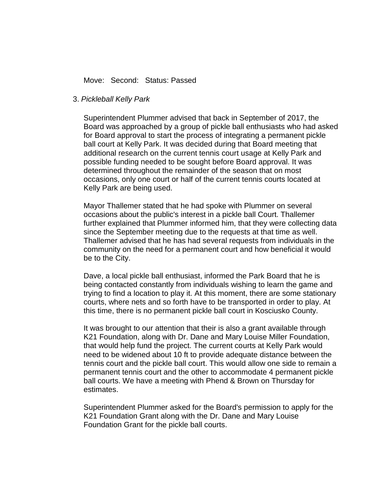## Move: Second: Status: Passed

#### 3. *Pickleball Kelly Park*

Superintendent Plummer advised that back in September of 2017, the Board was approached by a group of pickle ball enthusiasts who had asked for Board approval to start the process of integrating a permanent pickle ball court at Kelly Park. It was decided during that Board meeting that additional research on the current tennis court usage at Kelly Park and possible funding needed to be sought before Board approval. It was determined throughout the remainder of the season that on most occasions, only one court or half of the current tennis courts located at Kelly Park are being used.

Mayor Thallemer stated that he had spoke with Plummer on several occasions about the public's interest in a pickle ball Court. Thallemer further explained that Plummer informed him, that they were collecting data since the September meeting due to the requests at that time as well. Thallemer advised that he has had several requests from individuals in the community on the need for a permanent court and how beneficial it would be to the City.

Dave, a local pickle ball enthusiast, informed the Park Board that he is being contacted constantly from individuals wishing to learn the game and trying to find a location to play it. At this moment, there are some stationary courts, where nets and so forth have to be transported in order to play. At this time, there is no permanent pickle ball court in Kosciusko County.

It was brought to our attention that their is also a grant available through K21 Foundation, along with Dr. Dane and Mary Louise Miller Foundation, that would help fund the project. The current courts at Kelly Park would need to be widened about 10 ft to provide adequate distance between the tennis court and the pickle ball court. This would allow one side to remain a permanent tennis court and the other to accommodate 4 permanent pickle ball courts. We have a meeting with Phend & Brown on Thursday for estimates.

Superintendent Plummer asked for the Board's permission to apply for the K21 Foundation Grant along with the Dr. Dane and Mary Louise Foundation Grant for the pickle ball courts.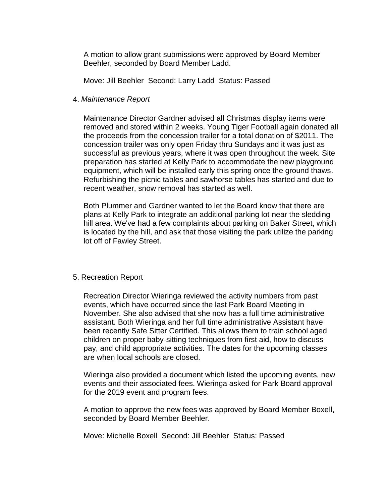A motion to allow grant submissions were approved by Board Member Beehler, seconded by Board Member Ladd.

Move: Jill Beehler Second: Larry Ladd Status: Passed

## 4. *Maintenance Report*

Maintenance Director Gardner advised all Christmas display items were removed and stored within 2 weeks. Young Tiger Football again donated all the proceeds from the concession trailer for a total donation of \$2011. The concession trailer was only open Friday thru Sundays and it was just as successful as previous years, where it was open throughout the week. Site preparation has started at Kelly Park to accommodate the new playground equipment, which will be installed early this spring once the ground thaws. Refurbishing the picnic tables and sawhorse tables has started and due to recent weather, snow removal has started as well.

Both Plummer and Gardner wanted to let the Board know that there are plans at Kelly Park to integrate an additional parking lot near the sledding hill area. We've had a few complaints about parking on Baker Street, which is located by the hill, and ask that those visiting the park utilize the parking lot off of Fawley Street.

#### 5. Recreation Report

Recreation Director Wieringa reviewed the activity numbers from past events, which have occurred since the last Park Board Meeting in November. She also advised that she now has a full time administrative assistant. Both Wieringa and her full time administrative Assistant have been recently Safe Sitter Certified. This allows them to train school aged children on proper baby-sitting techniques from first aid, how to discuss pay, and child appropriate activities. The dates for the upcoming classes are when local schools are closed.

Wieringa also provided a document which listed the upcoming events, new events and their associated fees. Wieringa asked for Park Board approval for the 2019 event and program fees.

A motion to approve the new fees was approved by Board Member Boxell, seconded by Board Member Beehler.

Move: Michelle Boxell Second: Jill Beehler Status: Passed